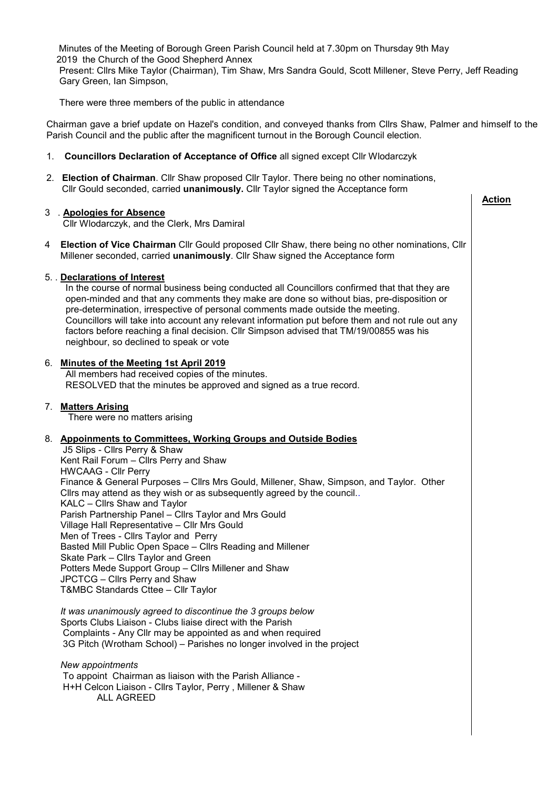Minutes of the Meeting of Borough Green Parish Council held at 7.30pm on Thursday 9th May 2019 the Church of the Good Shepherd Annex Present: Cllrs Mike Taylor (Chairman), Tim Shaw, Mrs Sandra Gould, Scott Millener, Steve Perry, Jeff Reading Gary Green, Ian Simpson,

There were three members of the public in attendance

Chairman gave a brief update on Hazel's condition, and conveyed thanks from Cllrs Shaw, Palmer and himself to the Parish Council and the public after the magnificent turnout in the Borough Council election.

- 1. **Councillors Declaration of Acceptance of Office** all signed except Cllr Wlodarczyk
- 2. **Election of Chairman**. Cllr Shaw proposed Cllr Taylor. There being no other nominations, Cllr Gould seconded, carried **unanimously.** Cllr Taylor signed the Acceptance form

## 3 . **Apologies for Absence** Cllr Wlodarczyk, and the Clerk, Mrs Damiral 4 **Election of Vice Chairman** Cllr Gould proposed Cllr Shaw, there being no other nominations, Cllr Millener seconded, carried **unanimously**. Cllr Shaw signed the Acceptance form 5. . **Declarations of Interest** In the course of normal business being conducted all Councillors confirmed that that they are open-minded and that any comments they make are done so without bias, pre-disposition or pre-determination, irrespective of personal comments made outside the meeting. Councillors will take into account any relevant information put before them and not rule out any factors before reaching a final decision. Cllr Simpson advised that TM/19/00855 was his neighbour, so declined to speak or vote 6. **Minutes of the Meeting 1st April 2019** All members had received copies of the minutes. RESOLVED that the minutes be approved and signed as a true record. 7. **Matters Arising** There were no matters arising 8. **Appoinments to Committees, Working Groups and Outside Bodies** J5 Slips - Cllrs Perry & Shaw Kent Rail Forum – Cllrs Perry and Shaw HWCAAG - Cllr Perry Finance & General Purposes – Cllrs Mrs Gould, Millener, Shaw, Simpson, and Taylor. Other Cllrs may attend as they wish or as subsequently agreed by the council.. KALC – Cllrs Shaw and Taylor Parish Partnership Panel – Cllrs Taylor and Mrs Gould Village Hall Representative – Cllr Mrs Gould Men of Trees - Cllrs Taylor and Perry Basted Mill Public Open Space – Cllrs Reading and Millener Skate Park – Cllrs Taylor and Green Potters Mede Support Group – Cllrs Millener and Shaw JPCTCG – Cllrs Perry and Shaw T&MBC Standards Cttee – Cllr Taylor  *It was unanimously agreed to discontinue the 3 groups below* Sports Clubs Liaison - Clubs liaise direct with the Parish Complaints - Any Cllr may be appointed as and when required 3G Pitch (Wrotham School) – Parishes no longer involved in the project  *New appointments* To appoint Chairman as liaison with the Parish Alliance -  **Action**

 H+H Celcon Liaison - Cllrs Taylor, Perry , Millener & Shaw ALL AGREED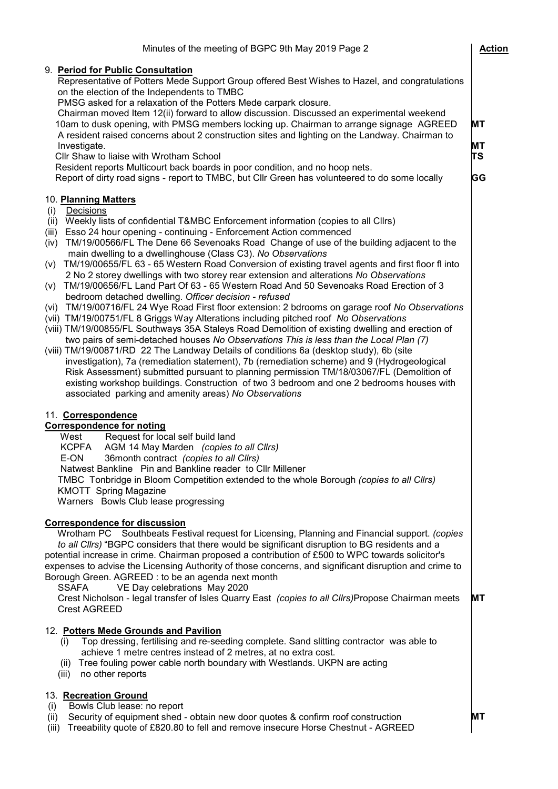| Minutes of the meeting of BGPC 9th May 2019 Page 2                                                                                                                                                                                                                                                                                                                                                                                                                                                                                                                                                                                                                                                                                                                                                                                                                                                                                                                                                                                                                                                                                                                                                                                                                                                                                                                                                                                                                                                                                                                           | <b>Action</b>        |
|------------------------------------------------------------------------------------------------------------------------------------------------------------------------------------------------------------------------------------------------------------------------------------------------------------------------------------------------------------------------------------------------------------------------------------------------------------------------------------------------------------------------------------------------------------------------------------------------------------------------------------------------------------------------------------------------------------------------------------------------------------------------------------------------------------------------------------------------------------------------------------------------------------------------------------------------------------------------------------------------------------------------------------------------------------------------------------------------------------------------------------------------------------------------------------------------------------------------------------------------------------------------------------------------------------------------------------------------------------------------------------------------------------------------------------------------------------------------------------------------------------------------------------------------------------------------------|----------------------|
| 9. Period for Public Consultation<br>Representative of Potters Mede Support Group offered Best Wishes to Hazel, and congratulations<br>on the election of the Independents to TMBC<br>PMSG asked for a relaxation of the Potters Mede carpark closure.<br>Chairman moved Item 12(ii) forward to allow discussion. Discussed an experimental weekend<br>10am to dusk opening, with PMSG members locking up. Chairman to arrange signage AGREED<br>A resident raised concerns about 2 construction sites and lighting on the Landway. Chairman to<br>Investigate.<br>Cllr Shaw to liaise with Wrotham School<br>Resident reports Multicourt back boards in poor condition, and no hoop nets.<br>Report of dirty road signs - report to TMBC, but Cllr Green has volunteered to do some locally                                                                                                                                                                                                                                                                                                                                                                                                                                                                                                                                                                                                                                                                                                                                                                                 | MT<br>МT<br>ΤS<br>GG |
| 10. Planning Matters<br>Decisions<br>(i)<br>(ii) Weekly lists of confidential T&MBC Enforcement information (copies to all Cllrs)<br>(iii) Esso 24 hour opening - continuing - Enforcement Action commenced<br>(iv) TM/19/00566/FL The Dene 66 Sevenoaks Road Change of use of the building adjacent to the<br>main dwelling to a dwellinghouse (Class C3). No Observations<br>(v) TM/19/00655/FL 63 - 65 Western Road Conversion of existing travel agents and first floor fl into<br>2 No 2 storey dwellings with two storey rear extension and alterations No Observations<br>TM/19/00656/FL Land Part Of 63 - 65 Western Road And 50 Sevenoaks Road Erection of 3<br>(v)<br>bedroom detached dwelling. Officer decision - refused<br>TM/19/00716/FL 24 Wye Road First floor extension: 2 bdrooms on garage roof No Observations<br>(vi)<br>(vii) TM/19/00751/FL 8 Griggs Way Alterations including pitched roof No Observations<br>(viii) TM/19/00855/FL Southways 35A Staleys Road Demolition of existing dwelling and erection of<br>two pairs of semi-detached houses No Observations This is less than the Local Plan (7)<br>(viii) TM/19/00871/RD 22 The Landway Details of conditions 6a (desktop study), 6b (site<br>investigation), 7a (remediation statement), 7b (remediation scheme) and 9 (Hydrogeological<br>Risk Assessment) submitted pursuant to planning permission TM/18/03067/FL (Demolition of<br>existing workshop buildings. Construction of two 3 bedroom and one 2 bedrooms houses with<br>associated parking and amenity areas) No Observations |                      |
| 11. Correspondence<br><b>Correspondence for noting</b><br>Request for local self build land<br>West<br><b>KCPFA</b><br>AGM 14 May Marden (copies to all Cllrs)<br>E-ON<br>36 month contract (copies to all Clirs)<br>Natwest Bankline Pin and Bankline reader to Cllr Millener<br>TMBC Tonbridge in Bloom Competition extended to the whole Borough (copies to all Clirs)<br><b>KMOTT</b> Spring Magazine<br>Warners Bowls Club lease progressing                                                                                                                                                                                                                                                                                                                                                                                                                                                                                                                                                                                                                                                                                                                                                                                                                                                                                                                                                                                                                                                                                                                            |                      |
| <b>Correspondence for discussion</b><br>Wrotham PC Southbeats Festival request for Licensing, Planning and Financial support. (copies<br>to all Cllrs) "BGPC considers that there would be significant disruption to BG residents and a<br>potential increase in crime. Chairman proposed a contribution of £500 to WPC towards solicitor's<br>expenses to advise the Licensing Authority of those concerns, and significant disruption and crime to<br>Borough Green. AGREED : to be an agenda next month<br>VE Day celebrations May 2020<br><b>SSAFA</b><br>Crest Nicholson - legal transfer of Isles Quarry East (copies to all Clirs) Propose Chairman meets<br><b>Crest AGREED</b>                                                                                                                                                                                                                                                                                                                                                                                                                                                                                                                                                                                                                                                                                                                                                                                                                                                                                      | MТ                   |
| 12. Potters Mede Grounds and Pavilion<br>Top dressing, fertilising and re-seeding complete. Sand slitting contractor was able to<br>(i)<br>achieve 1 metre centres instead of 2 metres, at no extra cost.<br>(ii) Tree fouling power cable north boundary with Westlands. UKPN are acting<br>no other reports<br>(iii)                                                                                                                                                                                                                                                                                                                                                                                                                                                                                                                                                                                                                                                                                                                                                                                                                                                                                                                                                                                                                                                                                                                                                                                                                                                       |                      |
| 13. Recreation Ground<br>Bowls Club lease: no report<br>(i)<br>Security of equipment shed - obtain new door quotes & confirm roof construction<br>(ii)<br>Treeability quote of £820.80 to fell and remove insecure Horse Chestnut - AGREED<br>(iii)                                                                                                                                                                                                                                                                                                                                                                                                                                                                                                                                                                                                                                                                                                                                                                                                                                                                                                                                                                                                                                                                                                                                                                                                                                                                                                                          | МT                   |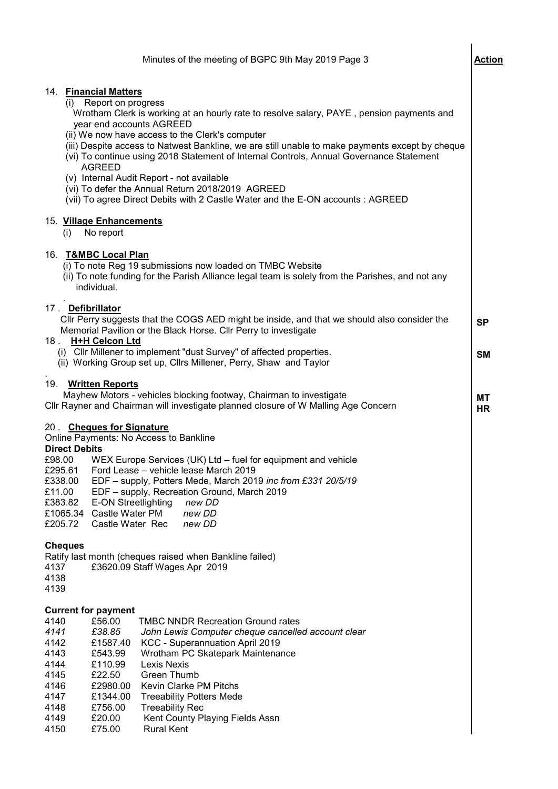|                                                                                      |                                                                                                                                                   | Minutes of the meeting of BGPC 9th May 2019 Page 3                                                                                                                                                                                                                                                                                                                                                                                                                                                                                                        | Action                 |
|--------------------------------------------------------------------------------------|---------------------------------------------------------------------------------------------------------------------------------------------------|-----------------------------------------------------------------------------------------------------------------------------------------------------------------------------------------------------------------------------------------------------------------------------------------------------------------------------------------------------------------------------------------------------------------------------------------------------------------------------------------------------------------------------------------------------------|------------------------|
|                                                                                      | 14. Financial Matters<br>(i) Report on progress<br><b>AGREED</b>                                                                                  | Wrotham Clerk is working at an hourly rate to resolve salary, PAYE, pension payments and<br>year end accounts AGREED<br>(ii) We now have access to the Clerk's computer<br>(iii) Despite access to Natwest Bankline, we are still unable to make payments except by cheque<br>(vi) To continue using 2018 Statement of Internal Controls, Annual Governance Statement<br>(v) Internal Audit Report - not available<br>(vi) To defer the Annual Return 2018/2019 AGREED<br>(vii) To agree Direct Debits with 2 Castle Water and the E-ON accounts : AGREED |                        |
| (i)                                                                                  | 15. Village Enhancements<br>No report                                                                                                             |                                                                                                                                                                                                                                                                                                                                                                                                                                                                                                                                                           |                        |
|                                                                                      | 16. T&MBC Local Plan<br>individual.                                                                                                               | (i) To note Reg 19 submissions now loaded on TMBC Website<br>(ii) To note funding for the Parish Alliance legal team is solely from the Parishes, and not any                                                                                                                                                                                                                                                                                                                                                                                             |                        |
| 18.                                                                                  | 17. Defibrillator<br><b>H+H Celcon Ltd</b>                                                                                                        | CIIr Perry suggests that the COGS AED might be inside, and that we should also consider the<br>Memorial Pavilion or the Black Horse. Cllr Perry to investigate<br>(i) Cllr Millener to implement "dust Survey" of affected properties.                                                                                                                                                                                                                                                                                                                    | <b>SP</b><br><b>SM</b> |
| 19.                                                                                  | <b>Written Reports</b>                                                                                                                            | (ii) Working Group set up, Cllrs Millener, Perry, Shaw and Taylor<br>Mayhew Motors - vehicles blocking footway, Chairman to investigate<br>Cllr Rayner and Chairman will investigate planned closure of W Malling Age Concern                                                                                                                                                                                                                                                                                                                             | MT<br>HR               |
| £98.00<br>£295.61<br>£338.00<br>£11.00<br>£383.82<br>£1065.34<br>£205.72             | 20. Cheques for Signature<br><b>Direct Debits</b><br>Castle Water PM<br>Castle Water Rec                                                          | Online Payments: No Access to Bankline<br>WEX Europe Services (UK) Ltd - fuel for equipment and vehicle<br>Ford Lease – vehicle lease March 2019<br>EDF - supply, Potters Mede, March 2019 inc from £331 20/5/19<br>EDF - supply, Recreation Ground, March 2019<br><b>E-ON Streetlighting</b><br>new DD<br>new DD<br>new DD                                                                                                                                                                                                                               |                        |
| <b>Cheques</b><br>4137<br>4138<br>4139                                               |                                                                                                                                                   | Ratify last month (cheques raised when Bankline failed)<br>£3620.09 Staff Wages Apr 2019                                                                                                                                                                                                                                                                                                                                                                                                                                                                  |                        |
| 4140<br>4141<br>4142<br>4143<br>4144<br>4145<br>4146<br>4147<br>4148<br>4149<br>4150 | <b>Current for payment</b><br>£56.00<br>£38.85<br>£1587.40<br>£543.99<br>£110.99<br>£22.50<br>£2980.00<br>£1344.00<br>£756.00<br>£20.00<br>£75.00 | <b>TMBC NNDR Recreation Ground rates</b><br>John Lewis Computer cheque cancelled account clear<br>KCC - Superannuation April 2019<br>Wrotham PC Skatepark Maintenance<br><b>Lexis Nexis</b><br>Green Thumb<br>Kevin Clarke PM Pitchs<br><b>Treeability Potters Mede</b><br><b>Treeability Rec</b><br>Kent County Playing Fields Assn<br><b>Rural Kent</b>                                                                                                                                                                                                 |                        |